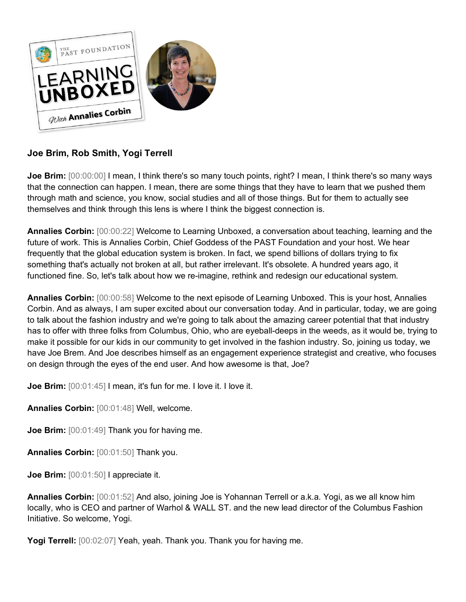

# **Joe Brim, Rob Smith, Yogi Terrell**

**Joe Brim:** [00:00:00] I mean, I think there's so many touch points, right? I mean, I think there's so many ways that the connection can happen. I mean, there are some things that they have to learn that we pushed them through math and science, you know, social studies and all of those things. But for them to actually see themselves and think through this lens is where I think the biggest connection is.

**Annalies Corbin:** [00:00:22] Welcome to Learning Unboxed, a conversation about teaching, learning and the future of work. This is Annalies Corbin, Chief Goddess of the PAST Foundation and your host. We hear frequently that the global education system is broken. In fact, we spend billions of dollars trying to fix something that's actually not broken at all, but rather irrelevant. It's obsolete. A hundred years ago, it functioned fine. So, let's talk about how we re-imagine, rethink and redesign our educational system.

**Annalies Corbin:** [00:00:58] Welcome to the next episode of Learning Unboxed. This is your host, Annalies Corbin. And as always, I am super excited about our conversation today. And in particular, today, we are going to talk about the fashion industry and we're going to talk about the amazing career potential that that industry has to offer with three folks from Columbus, Ohio, who are eyeball-deeps in the weeds, as it would be, trying to make it possible for our kids in our community to get involved in the fashion industry. So, joining us today, we have Joe Brem. And Joe describes himself as an engagement experience strategist and creative, who focuses on design through the eyes of the end user. And how awesome is that, Joe?

**Joe Brim:**  $[00:01:45]$  I mean, it's fun for me. I love it. I love it.

**Annalies Corbin:** [00:01:48] Well, welcome.

**Joe Brim:** [00:01:49] Thank you for having me.

**Annalies Corbin:** [00:01:50] Thank you.

**Joe Brim:** [00:01:50] I appreciate it.

**Annalies Corbin:** [00:01:52] And also, joining Joe is Yohannan Terrell or a.k.a. Yogi, as we all know him locally, who is CEO and partner of Warhol & WALL ST. and the new lead director of the Columbus Fashion Initiative. So welcome, Yogi.

**Yogi Terrell:** [00:02:07] Yeah, yeah. Thank you. Thank you for having me.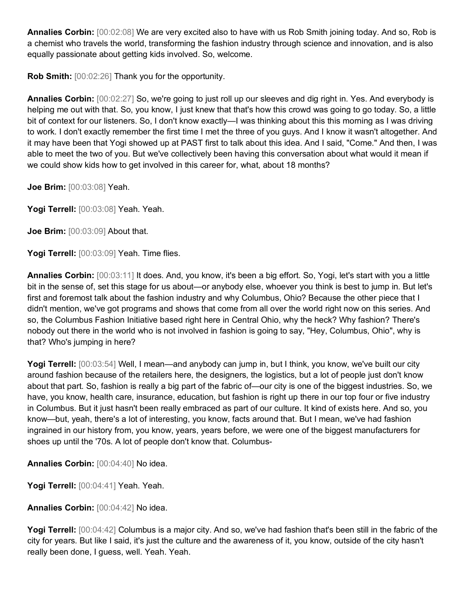**Annalies Corbin:** [00:02:08] We are very excited also to have with us Rob Smith joining today. And so, Rob is a chemist who travels the world, transforming the fashion industry through science and innovation, and is also equally passionate about getting kids involved. So, welcome.

**Rob Smith:** [00:02:26] Thank you for the opportunity.

**Annalies Corbin:** [00:02:27] So, we're going to just roll up our sleeves and dig right in. Yes. And everybody is helping me out with that. So, you know, I just knew that that's how this crowd was going to go today. So, a little bit of context for our listeners. So, I don't know exactly—I was thinking about this this morning as I was driving to work. I don't exactly remember the first time I met the three of you guys. And I know it wasn't altogether. And it may have been that Yogi showed up at PAST first to talk about this idea. And I said, "Come." And then, I was able to meet the two of you. But we've collectively been having this conversation about what would it mean if we could show kids how to get involved in this career for, what, about 18 months?

**Joe Brim:** [00:03:08] Yeah.

**Yogi Terrell:** [00:03:08] Yeah. Yeah.

**Joe Brim:** [00:03:09] About that.

Yogi Terrell: [00:03:09] Yeah. Time flies.

**Annalies Corbin:** [00:03:11] It does. And, you know, it's been a big effort. So, Yogi, let's start with you a little bit in the sense of, set this stage for us about—or anybody else, whoever you think is best to jump in. But let's first and foremost talk about the fashion industry and why Columbus, Ohio? Because the other piece that I didn't mention, we've got programs and shows that come from all over the world right now on this series. And so, the Columbus Fashion Initiative based right here in Central Ohio, why the heck? Why fashion? There's nobody out there in the world who is not involved in fashion is going to say, "Hey, Columbus, Ohio", why is that? Who's jumping in here?

Yogi Terrell: [00:03:54] Well, I mean—and anybody can jump in, but I think, you know, we've built our city around fashion because of the retailers here, the designers, the logistics, but a lot of people just don't know about that part. So, fashion is really a big part of the fabric of—our city is one of the biggest industries. So, we have, you know, health care, insurance, education, but fashion is right up there in our top four or five industry in Columbus. But it just hasn't been really embraced as part of our culture. It kind of exists here. And so, you know—but, yeah, there's a lot of interesting, you know, facts around that. But I mean, we've had fashion ingrained in our history from, you know, years, years before, we were one of the biggest manufacturers for shoes up until the '70s. A lot of people don't know that. Columbus-

**Annalies Corbin:** [00:04:40] No idea.

**Yogi Terrell:** [00:04:41] Yeah. Yeah.

**Annalies Corbin:** [00:04:42] No idea.

**Yogi Terrell:** [00:04:42] Columbus is a major city. And so, we've had fashion that's been still in the fabric of the city for years. But like I said, it's just the culture and the awareness of it, you know, outside of the city hasn't really been done, I guess, well. Yeah. Yeah.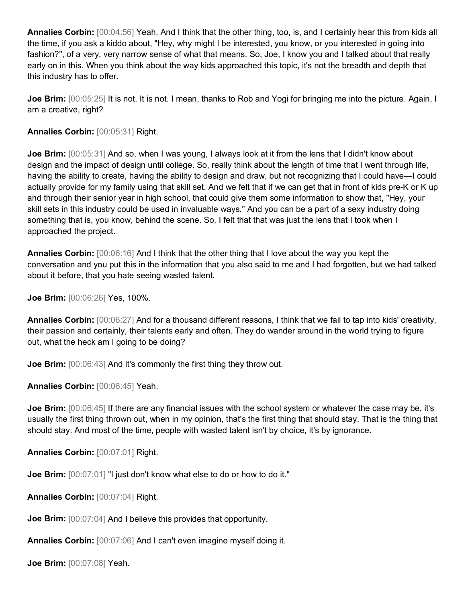**Annalies Corbin:** [00:04:56] Yeah. And I think that the other thing, too, is, and I certainly hear this from kids all the time, if you ask a kiddo about, "Hey, why might I be interested, you know, or you interested in going into fashion?", of a very, very narrow sense of what that means. So, Joe, I know you and I talked about that really early on in this. When you think about the way kids approached this topic, it's not the breadth and depth that this industry has to offer.

**Joe Brim:** [00:05:25] It is not. It is not. I mean, thanks to Rob and Yogi for bringing me into the picture. Again, I am a creative, right?

## **Annalies Corbin:** [00:05:31] Right.

**Joe Brim:**  $[00:05:31]$  And so, when I was young, I always look at it from the lens that I didn't know about design and the impact of design until college. So, really think about the length of time that I went through life, having the ability to create, having the ability to design and draw, but not recognizing that I could have—I could actually provide for my family using that skill set. And we felt that if we can get that in front of kids pre-K or K up and through their senior year in high school, that could give them some information to show that, "Hey, your skill sets in this industry could be used in invaluable ways." And you can be a part of a sexy industry doing something that is, you know, behind the scene. So, I felt that that was just the lens that I took when I approached the project.

**Annalies Corbin:** [00:06:16] And I think that the other thing that I love about the way you kept the conversation and you put this in the information that you also said to me and I had forgotten, but we had talked about it before, that you hate seeing wasted talent.

**Joe Brim:** [00:06:26] Yes, 100%.

**Annalies Corbin:** [00:06:27] And for a thousand different reasons, I think that we fail to tap into kids' creativity, their passion and certainly, their talents early and often. They do wander around in the world trying to figure out, what the heck am I going to be doing?

**Joe Brim:**  $[00:06:43]$  And it's commonly the first thing they throw out.

**Annalies Corbin:** [00:06:45] Yeah.

**Joe Brim:** [00:06:45] If there are any financial issues with the school system or whatever the case may be, it's usually the first thing thrown out, when in my opinion, that's the first thing that should stay. That is the thing that should stay. And most of the time, people with wasted talent isn't by choice, it's by ignorance.

**Annalies Corbin:** [00:07:01] Right.

**Joe Brim:**  $[00:07:01]$  "I just don't know what else to do or how to do it."

**Annalies Corbin:** [00:07:04] Right.

**Joe Brim:**  $[00:07:04]$  And I believe this provides that opportunity.

**Annalies Corbin:** [00:07:06] And I can't even imagine myself doing it.

**Joe Brim:** [00:07:08] Yeah.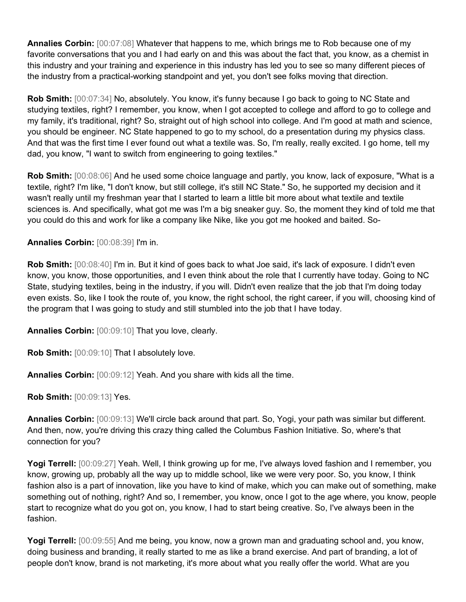**Annalies Corbin:** [00:07:08] Whatever that happens to me, which brings me to Rob because one of my favorite conversations that you and I had early on and this was about the fact that, you know, as a chemist in this industry and your training and experience in this industry has led you to see so many different pieces of the industry from a practical-working standpoint and yet, you don't see folks moving that direction.

**Rob Smith:** [00:07:34] No, absolutely. You know, it's funny because I go back to going to NC State and studying textiles, right? I remember, you know, when I got accepted to college and afford to go to college and my family, it's traditional, right? So, straight out of high school into college. And I'm good at math and science, you should be engineer. NC State happened to go to my school, do a presentation during my physics class. And that was the first time I ever found out what a textile was. So, I'm really, really excited. I go home, tell my dad, you know, "I want to switch from engineering to going textiles."

**Rob Smith:** [00:08:06] And he used some choice language and partly, you know, lack of exposure, "What is a textile, right? I'm like, "I don't know, but still college, it's still NC State." So, he supported my decision and it wasn't really until my freshman year that I started to learn a little bit more about what textile and textile sciences is. And specifically, what got me was I'm a big sneaker guy. So, the moment they kind of told me that you could do this and work for like a company like Nike, like you got me hooked and baited. So-

**Annalies Corbin:** [00:08:39] I'm in.

**Rob Smith:** [00:08:40] I'm in. But it kind of goes back to what Joe said, it's lack of exposure. I didn't even know, you know, those opportunities, and I even think about the role that I currently have today. Going to NC State, studying textiles, being in the industry, if you will. Didn't even realize that the job that I'm doing today even exists. So, like I took the route of, you know, the right school, the right career, if you will, choosing kind of the program that I was going to study and still stumbled into the job that I have today.

**Annalies Corbin:** [00:09:10] That you love, clearly.

**Rob Smith:** [00:09:10] That I absolutely love.

**Annalies Corbin:** [00:09:12] Yeah. And you share with kids all the time.

**Rob Smith:** [00:09:13] Yes.

**Annalies Corbin:** [00:09:13] We'll circle back around that part. So, Yogi, your path was similar but different. And then, now, you're driving this crazy thing called the Columbus Fashion Initiative. So, where's that connection for you?

**Yogi Terrell:** [00:09:27] Yeah. Well, I think growing up for me, I've always loved fashion and I remember, you know, growing up, probably all the way up to middle school, like we were very poor. So, you know, I think fashion also is a part of innovation, like you have to kind of make, which you can make out of something, make something out of nothing, right? And so, I remember, you know, once I got to the age where, you know, people start to recognize what do you got on, you know, I had to start being creative. So, I've always been in the fashion.

**Yogi Terrell:** [00:09:55] And me being, you know, now a grown man and graduating school and, you know, doing business and branding, it really started to me as like a brand exercise. And part of branding, a lot of people don't know, brand is not marketing, it's more about what you really offer the world. What are you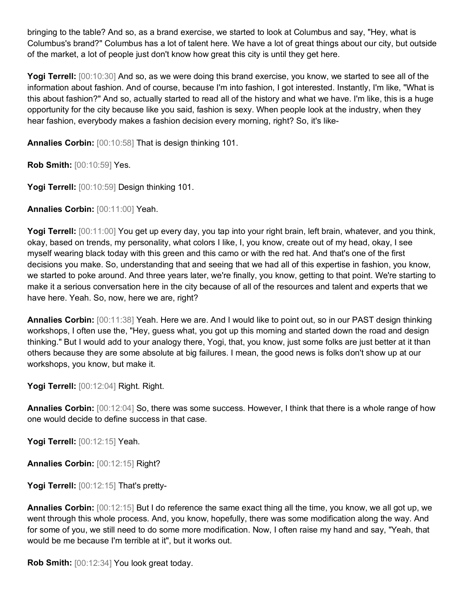bringing to the table? And so, as a brand exercise, we started to look at Columbus and say, "Hey, what is Columbus's brand?" Columbus has a lot of talent here. We have a lot of great things about our city, but outside of the market, a lot of people just don't know how great this city is until they get here.

**Yogi Terrell:** [00:10:30] And so, as we were doing this brand exercise, you know, we started to see all of the information about fashion. And of course, because I'm into fashion, I got interested. Instantly, I'm like, "What is this about fashion?" And so, actually started to read all of the history and what we have. I'm like, this is a huge opportunity for the city because like you said, fashion is sexy. When people look at the industry, when they hear fashion, everybody makes a fashion decision every morning, right? So, it's like-

**Annalies Corbin:** [00:10:58] That is design thinking 101.

**Rob Smith:** [00:10:59] Yes.

**Yogi Terrell:** [00:10:59] Design thinking 101.

**Annalies Corbin:** [00:11:00] Yeah.

**Yogi Terrell:** [00:11:00] You get up every day, you tap into your right brain, left brain, whatever, and you think, okay, based on trends, my personality, what colors I like, I, you know, create out of my head, okay, I see myself wearing black today with this green and this camo or with the red hat. And that's one of the first decisions you make. So, understanding that and seeing that we had all of this expertise in fashion, you know, we started to poke around. And three years later, we're finally, you know, getting to that point. We're starting to make it a serious conversation here in the city because of all of the resources and talent and experts that we have here. Yeah. So, now, here we are, right?

**Annalies Corbin:** [00:11:38] Yeah. Here we are. And I would like to point out, so in our PAST design thinking workshops, I often use the, "Hey, guess what, you got up this morning and started down the road and design thinking." But I would add to your analogy there, Yogi, that, you know, just some folks are just better at it than others because they are some absolute at big failures. I mean, the good news is folks don't show up at our workshops, you know, but make it.

**Yogi Terrell:** [00:12:04] Right. Right.

**Annalies Corbin:** [00:12:04] So, there was some success. However, I think that there is a whole range of how one would decide to define success in that case.

**Yogi Terrell:** [00:12:15] Yeah.

**Annalies Corbin:** [00:12:15] Right?

**Yogi Terrell:** [00:12:15] That's pretty-

**Annalies Corbin:** [00:12:15] But I do reference the same exact thing all the time, you know, we all got up, we went through this whole process. And, you know, hopefully, there was some modification along the way. And for some of you, we still need to do some more modification. Now, I often raise my hand and say, "Yeah, that would be me because I'm terrible at it", but it works out.

**Rob Smith:** [00:12:34] You look great today.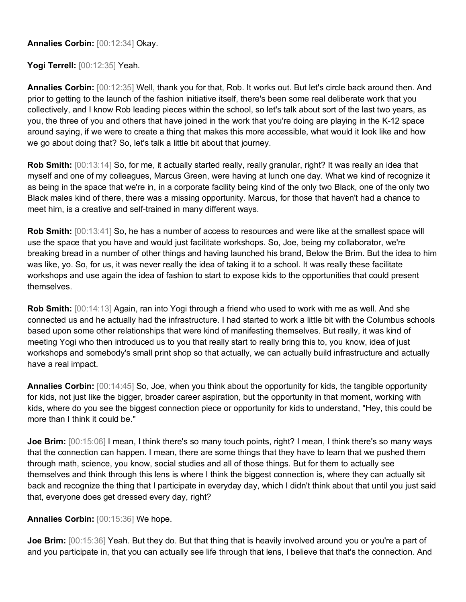**Annalies Corbin:** [00:12:34] Okay.

**Yogi Terrell:** [00:12:35] Yeah.

**Annalies Corbin:** [00:12:35] Well, thank you for that, Rob. It works out. But let's circle back around then. And prior to getting to the launch of the fashion initiative itself, there's been some real deliberate work that you collectively, and I know Rob leading pieces within the school, so let's talk about sort of the last two years, as you, the three of you and others that have joined in the work that you're doing are playing in the K-12 space around saying, if we were to create a thing that makes this more accessible, what would it look like and how we go about doing that? So, let's talk a little bit about that journey.

**Rob Smith:**  $[00:13:14]$  So, for me, it actually started really, really granular, right? It was really an idea that myself and one of my colleagues, Marcus Green, were having at lunch one day. What we kind of recognize it as being in the space that we're in, in a corporate facility being kind of the only two Black, one of the only two Black males kind of there, there was a missing opportunity. Marcus, for those that haven't had a chance to meet him, is a creative and self-trained in many different ways.

**Rob Smith:**  $[00:13:41]$  So, he has a number of access to resources and were like at the smallest space will use the space that you have and would just facilitate workshops. So, Joe, being my collaborator, we're breaking bread in a number of other things and having launched his brand, Below the Brim. But the idea to him was like, yo. So, for us, it was never really the idea of taking it to a school. It was really these facilitate workshops and use again the idea of fashion to start to expose kids to the opportunities that could present themselves.

**Rob Smith:** [00:14:13] Again, ran into Yogi through a friend who used to work with me as well. And she connected us and he actually had the infrastructure. I had started to work a little bit with the Columbus schools based upon some other relationships that were kind of manifesting themselves. But really, it was kind of meeting Yogi who then introduced us to you that really start to really bring this to, you know, idea of just workshops and somebody's small print shop so that actually, we can actually build infrastructure and actually have a real impact.

**Annalies Corbin:** [00:14:45] So, Joe, when you think about the opportunity for kids, the tangible opportunity for kids, not just like the bigger, broader career aspiration, but the opportunity in that moment, working with kids, where do you see the biggest connection piece or opportunity for kids to understand, "Hey, this could be more than I think it could be."

**Joe Brim:** [00:15:06] I mean, I think there's so many touch points, right? I mean, I think there's so many ways that the connection can happen. I mean, there are some things that they have to learn that we pushed them through math, science, you know, social studies and all of those things. But for them to actually see themselves and think through this lens is where I think the biggest connection is, where they can actually sit back and recognize the thing that I participate in everyday day, which I didn't think about that until you just said that, everyone does get dressed every day, right?

**Annalies Corbin:** [00:15:36] We hope.

**Joe Brim:** [00:15:36] Yeah. But they do. But that thing that is heavily involved around you or you're a part of and you participate in, that you can actually see life through that lens, I believe that that's the connection. And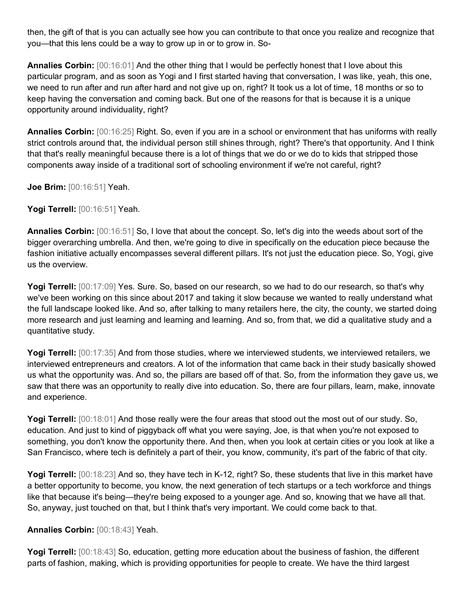then, the gift of that is you can actually see how you can contribute to that once you realize and recognize that you—that this lens could be a way to grow up in or to grow in. So-

**Annalies Corbin:** [00:16:01] And the other thing that I would be perfectly honest that I love about this particular program, and as soon as Yogi and I first started having that conversation, I was like, yeah, this one, we need to run after and run after hard and not give up on, right? It took us a lot of time, 18 months or so to keep having the conversation and coming back. But one of the reasons for that is because it is a unique opportunity around individuality, right?

**Annalies Corbin:** [00:16:25] Right. So, even if you are in a school or environment that has uniforms with really strict controls around that, the individual person still shines through, right? There's that opportunity. And I think that that's really meaningful because there is a lot of things that we do or we do to kids that stripped those components away inside of a traditional sort of schooling environment if we're not careful, right?

**Joe Brim:** [00:16:51] Yeah.

**Yogi Terrell:** [00:16:51] Yeah.

**Annalies Corbin:** [00:16:51] So, I love that about the concept. So, let's dig into the weeds about sort of the bigger overarching umbrella. And then, we're going to dive in specifically on the education piece because the fashion initiative actually encompasses several different pillars. It's not just the education piece. So, Yogi, give us the overview.

Yogi Terrell:  $[00:17:09]$  Yes. Sure. So, based on our research, so we had to do our research, so that's why we've been working on this since about 2017 and taking it slow because we wanted to really understand what the full landscape looked like. And so, after talking to many retailers here, the city, the county, we started doing more research and just learning and learning and learning. And so, from that, we did a qualitative study and a quantitative study.

**Yogi Terrell:** [00:17:35] And from those studies, where we interviewed students, we interviewed retailers, we interviewed entrepreneurs and creators. A lot of the information that came back in their study basically showed us what the opportunity was. And so, the pillars are based off of that. So, from the information they gave us, we saw that there was an opportunity to really dive into education. So, there are four pillars, learn, make, innovate and experience.

**Yogi Terrell:** [00:18:01] And those really were the four areas that stood out the most out of our study. So, education. And just to kind of piggyback off what you were saying, Joe, is that when you're not exposed to something, you don't know the opportunity there. And then, when you look at certain cities or you look at like a San Francisco, where tech is definitely a part of their, you know, community, it's part of the fabric of that city.

**Yogi Terrell:** [00:18:23] And so, they have tech in K-12, right? So, these students that live in this market have a better opportunity to become, you know, the next generation of tech startups or a tech workforce and things like that because it's being—they're being exposed to a younger age. And so, knowing that we have all that. So, anyway, just touched on that, but I think that's very important. We could come back to that.

## **Annalies Corbin:** [00:18:43] Yeah.

**Yogi Terrell:** [00:18:43] So, education, getting more education about the business of fashion, the different parts of fashion, making, which is providing opportunities for people to create. We have the third largest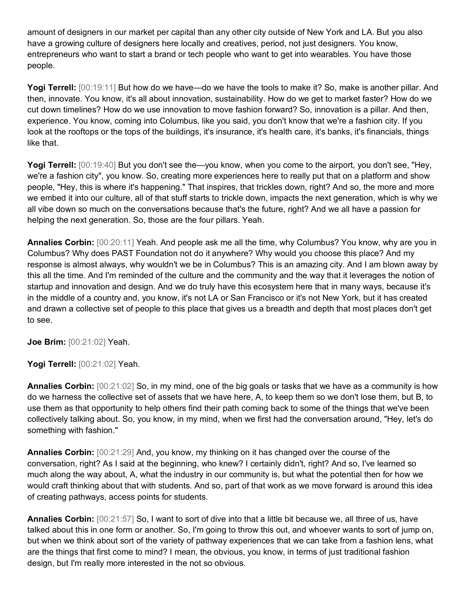amount of designers in our market per capital than any other city outside of New York and LA. But you also have a growing culture of designers here locally and creatives, period, not just designers. You know, entrepreneurs who want to start a brand or tech people who want to get into wearables. You have those people.

Yogi Terrell: [00:19:11] But how do we have—do we have the tools to make it? So, make is another pillar. And then, innovate. You know, it's all about innovation, sustainability. How do we get to market faster? How do we cut down timelines? How do we use innovation to move fashion forward? So, innovation is a pillar. And then, experience. You know, coming into Columbus, like you said, you don't know that we're a fashion city. If you look at the rooftops or the tops of the buildings, it's insurance, it's health care, it's banks, it's financials, things like that.

**Yogi Terrell:** [00:19:40] But you don't see the—you know, when you come to the airport, you don't see, "Hey, we're a fashion city", you know. So, creating more experiences here to really put that on a platform and show people, "Hey, this is where it's happening." That inspires, that trickles down, right? And so, the more and more we embed it into our culture, all of that stuff starts to trickle down, impacts the next generation, which is why we all vibe down so much on the conversations because that's the future, right? And we all have a passion for helping the next generation. So, those are the four pillars. Yeah.

**Annalies Corbin:** [00:20:11] Yeah. And people ask me all the time, why Columbus? You know, why are you in Columbus? Why does PAST Foundation not do it anywhere? Why would you choose this place? And my response is almost always, why wouldn't we be in Columbus? This is an amazing city. And I am blown away by this all the time. And I'm reminded of the culture and the community and the way that it leverages the notion of startup and innovation and design. And we do truly have this ecosystem here that in many ways, because it's in the middle of a country and, you know, it's not LA or San Francisco or it's not New York, but it has created and drawn a collective set of people to this place that gives us a breadth and depth that most places don't get to see.

**Joe Brim:** [00:21:02] Yeah.

**Yogi Terrell:** [00:21:02] Yeah.

**Annalies Corbin:** [00:21:02] So, in my mind, one of the big goals or tasks that we have as a community is how do we harness the collective set of assets that we have here, A, to keep them so we don't lose them, but B, to use them as that opportunity to help others find their path coming back to some of the things that we've been collectively talking about. So, you know, in my mind, when we first had the conversation around, "Hey, let's do something with fashion."

**Annalies Corbin:** [00:21:29] And, you know, my thinking on it has changed over the course of the conversation, right? As I said at the beginning, who knew? I certainly didn't, right? And so, I've learned so much along the way about, A, what the industry in our community is, but what the potential then for how we would craft thinking about that with students. And so, part of that work as we move forward is around this idea of creating pathways, access points for students.

**Annalies Corbin:** [00:21:57] So, I want to sort of dive into that a little bit because we, all three of us, have talked about this in one form or another. So, I'm going to throw this out, and whoever wants to sort of jump on, but when we think about sort of the variety of pathway experiences that we can take from a fashion lens, what are the things that first come to mind? I mean, the obvious, you know, in terms of just traditional fashion design, but I'm really more interested in the not so obvious.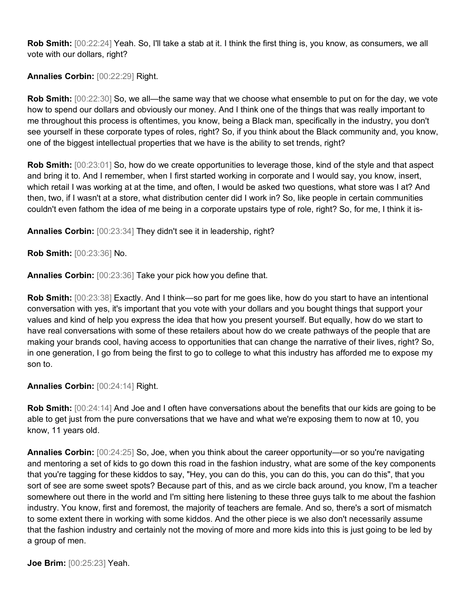**Rob Smith:** [00:22:24] Yeah. So, I'll take a stab at it. I think the first thing is, you know, as consumers, we all vote with our dollars, right?

**Annalies Corbin:** [00:22:29] Right.

**Rob Smith:** [00:22:30] So, we all—the same way that we choose what ensemble to put on for the day, we vote how to spend our dollars and obviously our money. And I think one of the things that was really important to me throughout this process is oftentimes, you know, being a Black man, specifically in the industry, you don't see yourself in these corporate types of roles, right? So, if you think about the Black community and, you know, one of the biggest intellectual properties that we have is the ability to set trends, right?

**Rob Smith:** [00:23:01] So, how do we create opportunities to leverage those, kind of the style and that aspect and bring it to. And I remember, when I first started working in corporate and I would say, you know, insert, which retail I was working at at the time, and often, I would be asked two questions, what store was I at? And then, two, if I wasn't at a store, what distribution center did I work in? So, like people in certain communities couldn't even fathom the idea of me being in a corporate upstairs type of role, right? So, for me, I think it is-

**Annalies Corbin:** [00:23:34] They didn't see it in leadership, right?

**Rob Smith:** [00:23:36] No.

**Annalies Corbin:** [00:23:36] Take your pick how you define that.

**Rob Smith:**  $[00:23:38]$  Exactly. And I think—so part for me goes like, how do you start to have an intentional conversation with yes, it's important that you vote with your dollars and you bought things that support your values and kind of help you express the idea that how you present yourself. But equally, how do we start to have real conversations with some of these retailers about how do we create pathways of the people that are making your brands cool, having access to opportunities that can change the narrative of their lives, right? So, in one generation, I go from being the first to go to college to what this industry has afforded me to expose my son to.

**Annalies Corbin:** [00:24:14] Right.

**Rob Smith:** [00:24:14] And Joe and I often have conversations about the benefits that our kids are going to be able to get just from the pure conversations that we have and what we're exposing them to now at 10, you know, 11 years old.

**Annalies Corbin:** [00:24:25] So, Joe, when you think about the career opportunity—or so you're navigating and mentoring a set of kids to go down this road in the fashion industry, what are some of the key components that you're tagging for these kiddos to say, "Hey, you can do this, you can do this, you can do this", that you sort of see are some sweet spots? Because part of this, and as we circle back around, you know, I'm a teacher somewhere out there in the world and I'm sitting here listening to these three guys talk to me about the fashion industry. You know, first and foremost, the majority of teachers are female. And so, there's a sort of mismatch to some extent there in working with some kiddos. And the other piece is we also don't necessarily assume that the fashion industry and certainly not the moving of more and more kids into this is just going to be led by a group of men.

**Joe Brim:** [00:25:23] Yeah.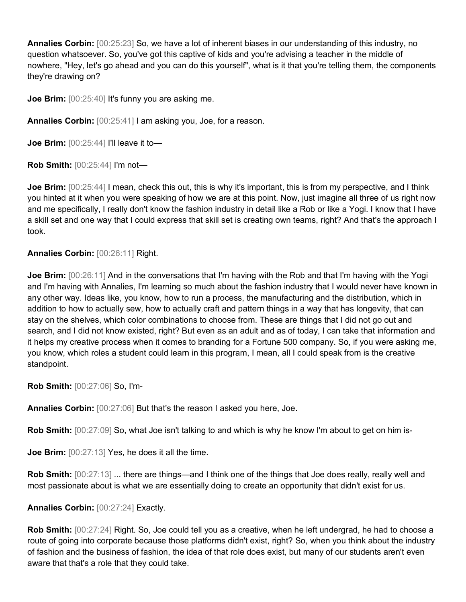**Annalies Corbin:** [00:25:23] So, we have a lot of inherent biases in our understanding of this industry, no question whatsoever. So, you've got this captive of kids and you're advising a teacher in the middle of nowhere, "Hey, let's go ahead and you can do this yourself", what is it that you're telling them, the components they're drawing on?

**Joe Brim:**  $[00:25:40]$  It's funny you are asking me.

**Annalies Corbin:** [00:25:41] I am asking you, Joe, for a reason.

**Joe Brim:**  $[00:25:44]$  I'll leave it to-

**Rob Smith:** [00:25:44] I'm not—

**Joe Brim:** [00:25:44] I mean, check this out, this is why it's important, this is from my perspective, and I think you hinted at it when you were speaking of how we are at this point. Now, just imagine all three of us right now and me specifically, I really don't know the fashion industry in detail like a Rob or like a Yogi. I know that I have a skill set and one way that I could express that skill set is creating own teams, right? And that's the approach I took.

### **Annalies Corbin:** [00:26:11] Right.

**Joe Brim:**  $[00:26:11]$  And in the conversations that I'm having with the Rob and that I'm having with the Yogi and I'm having with Annalies, I'm learning so much about the fashion industry that I would never have known in any other way. Ideas like, you know, how to run a process, the manufacturing and the distribution, which in addition to how to actually sew, how to actually craft and pattern things in a way that has longevity, that can stay on the shelves, which color combinations to choose from. These are things that I did not go out and search, and I did not know existed, right? But even as an adult and as of today, I can take that information and it helps my creative process when it comes to branding for a Fortune 500 company. So, if you were asking me, you know, which roles a student could learn in this program, I mean, all I could speak from is the creative standpoint.

**Rob Smith:** [00:27:06] So, I'm-

**Annalies Corbin:** [00:27:06] But that's the reason I asked you here, Joe.

**Rob Smith:** [00:27:09] So, what Joe isn't talking to and which is why he know I'm about to get on him is-

**Joe Brim:**  $[00:27:13]$  Yes, he does it all the time.

**Rob Smith:**  $[00:27:13]$  ... there are things—and I think one of the things that Joe does really, really well and most passionate about is what we are essentially doing to create an opportunity that didn't exist for us.

### **Annalies Corbin:** [00:27:24] Exactly.

**Rob Smith:** [00:27:24] Right. So, Joe could tell you as a creative, when he left undergrad, he had to choose a route of going into corporate because those platforms didn't exist, right? So, when you think about the industry of fashion and the business of fashion, the idea of that role does exist, but many of our students aren't even aware that that's a role that they could take.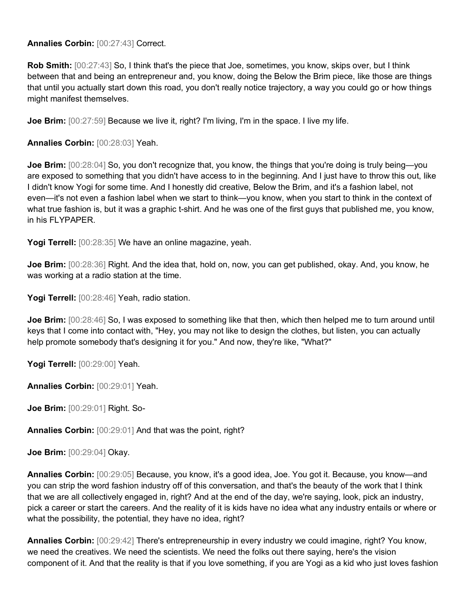**Annalies Corbin:** [00:27:43] Correct.

**Rob Smith:** [00:27:43] So, I think that's the piece that Joe, sometimes, you know, skips over, but I think between that and being an entrepreneur and, you know, doing the Below the Brim piece, like those are things that until you actually start down this road, you don't really notice trajectory, a way you could go or how things might manifest themselves.

**Joe Brim:** [00:27:59] Because we live it, right? I'm living, I'm in the space. I live my life.

**Annalies Corbin:** [00:28:03] Yeah.

**Joe Brim:** [00:28:04] So, you don't recognize that, you know, the things that you're doing is truly being—you are exposed to something that you didn't have access to in the beginning. And I just have to throw this out, like I didn't know Yogi for some time. And I honestly did creative, Below the Brim, and it's a fashion label, not even—it's not even a fashion label when we start to think—you know, when you start to think in the context of what true fashion is, but it was a graphic t-shirt. And he was one of the first guys that published me, you know, in his FLYPAPER.

Yogi Terrell: [00:28:35] We have an online magazine, yeah.

**Joe Brim:** [00:28:36] Right. And the idea that, hold on, now, you can get published, okay. And, you know, he was working at a radio station at the time.

**Yogi Terrell:** [00:28:46] Yeah, radio station.

**Joe Brim:** [00:28:46] So, I was exposed to something like that then, which then helped me to turn around until keys that I come into contact with, "Hey, you may not like to design the clothes, but listen, you can actually help promote somebody that's designing it for you." And now, they're like, "What?"

**Yogi Terrell:** [00:29:00] Yeah.

**Annalies Corbin:** [00:29:01] Yeah.

**Joe Brim:** [00:29:01] Right. So-

**Annalies Corbin:** [00:29:01] And that was the point, right?

**Joe Brim:** [00:29:04] Okay.

**Annalies Corbin:** [00:29:05] Because, you know, it's a good idea, Joe. You got it. Because, you know—and you can strip the word fashion industry off of this conversation, and that's the beauty of the work that I think that we are all collectively engaged in, right? And at the end of the day, we're saying, look, pick an industry, pick a career or start the careers. And the reality of it is kids have no idea what any industry entails or where or what the possibility, the potential, they have no idea, right?

**Annalies Corbin:** [00:29:42] There's entrepreneurship in every industry we could imagine, right? You know, we need the creatives. We need the scientists. We need the folks out there saying, here's the vision component of it. And that the reality is that if you love something, if you are Yogi as a kid who just loves fashion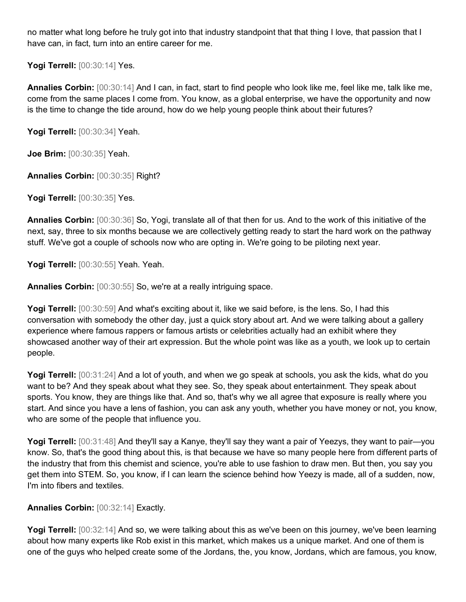no matter what long before he truly got into that industry standpoint that that thing I love, that passion that I have can, in fact, turn into an entire career for me.

**Yogi Terrell:** [00:30:14] Yes.

**Annalies Corbin:** [00:30:14] And I can, in fact, start to find people who look like me, feel like me, talk like me, come from the same places I come from. You know, as a global enterprise, we have the opportunity and now is the time to change the tide around, how do we help young people think about their futures?

**Yogi Terrell:** [00:30:34] Yeah.

**Joe Brim:** [00:30:35] Yeah.

**Annalies Corbin:** [00:30:35] Right?

**Yogi Terrell:** [00:30:35] Yes.

**Annalies Corbin:** [00:30:36] So, Yogi, translate all of that then for us. And to the work of this initiative of the next, say, three to six months because we are collectively getting ready to start the hard work on the pathway stuff. We've got a couple of schools now who are opting in. We're going to be piloting next year.

**Yogi Terrell:** [00:30:55] Yeah. Yeah.

**Annalies Corbin:** [00:30:55] So, we're at a really intriguing space.

**Yogi Terrell:** [00:30:59] And what's exciting about it, like we said before, is the lens. So, I had this conversation with somebody the other day, just a quick story about art. And we were talking about a gallery experience where famous rappers or famous artists or celebrities actually had an exhibit where they showcased another way of their art expression. But the whole point was like as a youth, we look up to certain people.

Yogi Terrell: [00:31:24] And a lot of youth, and when we go speak at schools, you ask the kids, what do you want to be? And they speak about what they see. So, they speak about entertainment. They speak about sports. You know, they are things like that. And so, that's why we all agree that exposure is really where you start. And since you have a lens of fashion, you can ask any youth, whether you have money or not, you know, who are some of the people that influence you.

**Yogi Terrell:** [00:31:48] And they'll say a Kanye, they'll say they want a pair of Yeezys, they want to pair—you know. So, that's the good thing about this, is that because we have so many people here from different parts of the industry that from this chemist and science, you're able to use fashion to draw men. But then, you say you get them into STEM. So, you know, if I can learn the science behind how Yeezy is made, all of a sudden, now, I'm into fibers and textiles.

## **Annalies Corbin:** [00:32:14] Exactly.

**Yogi Terrell:** [00:32:14] And so, we were talking about this as we've been on this journey, we've been learning about how many experts like Rob exist in this market, which makes us a unique market. And one of them is one of the guys who helped create some of the Jordans, the, you know, Jordans, which are famous, you know,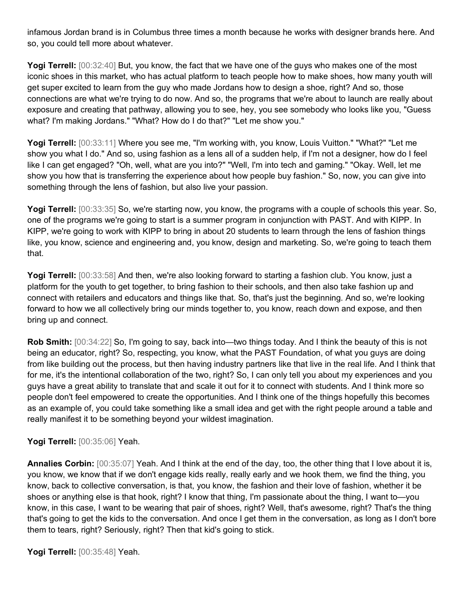infamous Jordan brand is in Columbus three times a month because he works with designer brands here. And so, you could tell more about whatever.

**Yogi Terrell:** [00:32:40] But, you know, the fact that we have one of the guys who makes one of the most iconic shoes in this market, who has actual platform to teach people how to make shoes, how many youth will get super excited to learn from the guy who made Jordans how to design a shoe, right? And so, those connections are what we're trying to do now. And so, the programs that we're about to launch are really about exposure and creating that pathway, allowing you to see, hey, you see somebody who looks like you, "Guess what? I'm making Jordans." "What? How do I do that?" "Let me show you."

**Yogi Terrell:** [00:33:11] Where you see me, "I'm working with, you know, Louis Vuitton." "What?" "Let me show you what I do." And so, using fashion as a lens all of a sudden help, if I'm not a designer, how do I feel like I can get engaged? "Oh, well, what are you into?" "Well, I'm into tech and gaming." "Okay. Well, let me show you how that is transferring the experience about how people buy fashion." So, now, you can give into something through the lens of fashion, but also live your passion.

**Yogi Terrell:** [00:33:35] So, we're starting now, you know, the programs with a couple of schools this year. So, one of the programs we're going to start is a summer program in conjunction with PAST. And with KIPP. In KIPP, we're going to work with KIPP to bring in about 20 students to learn through the lens of fashion things like, you know, science and engineering and, you know, design and marketing. So, we're going to teach them that.

Yogi Terrell: [00:33:58] And then, we're also looking forward to starting a fashion club. You know, just a platform for the youth to get together, to bring fashion to their schools, and then also take fashion up and connect with retailers and educators and things like that. So, that's just the beginning. And so, we're looking forward to how we all collectively bring our minds together to, you know, reach down and expose, and then bring up and connect.

**Rob Smith:** [00:34:22] So, I'm going to say, back into—two things today. And I think the beauty of this is not being an educator, right? So, respecting, you know, what the PAST Foundation, of what you guys are doing from like building out the process, but then having industry partners like that live in the real life. And I think that for me, it's the intentional collaboration of the two, right? So, I can only tell you about my experiences and you guys have a great ability to translate that and scale it out for it to connect with students. And I think more so people don't feel empowered to create the opportunities. And I think one of the things hopefully this becomes as an example of, you could take something like a small idea and get with the right people around a table and really manifest it to be something beyond your wildest imagination.

## **Yogi Terrell:** [00:35:06] Yeah.

**Annalies Corbin:** [00:35:07] Yeah. And I think at the end of the day, too, the other thing that I love about it is, you know, we know that if we don't engage kids really, really early and we hook them, we find the thing, you know, back to collective conversation, is that, you know, the fashion and their love of fashion, whether it be shoes or anything else is that hook, right? I know that thing, I'm passionate about the thing, I want to—you know, in this case, I want to be wearing that pair of shoes, right? Well, that's awesome, right? That's the thing that's going to get the kids to the conversation. And once I get them in the conversation, as long as I don't bore them to tears, right? Seriously, right? Then that kid's going to stick.

**Yogi Terrell:** [00:35:48] Yeah.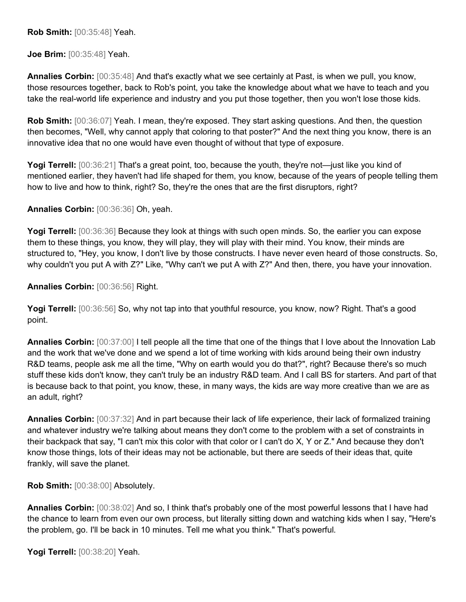**Rob Smith:** [00:35:48] Yeah.

**Joe Brim:** [00:35:48] Yeah.

**Annalies Corbin:** [00:35:48] And that's exactly what we see certainly at Past, is when we pull, you know, those resources together, back to Rob's point, you take the knowledge about what we have to teach and you take the real-world life experience and industry and you put those together, then you won't lose those kids.

**Rob Smith:**  $[00:36:07]$  Yeah. I mean, they're exposed. They start asking questions. And then, the question then becomes, "Well, why cannot apply that coloring to that poster?" And the next thing you know, there is an innovative idea that no one would have even thought of without that type of exposure.

**Yogi Terrell:** [00:36:21] That's a great point, too, because the youth, they're not—just like you kind of mentioned earlier, they haven't had life shaped for them, you know, because of the years of people telling them how to live and how to think, right? So, they're the ones that are the first disruptors, right?

**Annalies Corbin:** [00:36:36] Oh, yeah.

**Yogi Terrell:** [00:36:36] Because they look at things with such open minds. So, the earlier you can expose them to these things, you know, they will play, they will play with their mind. You know, their minds are structured to, "Hey, you know, I don't live by those constructs. I have never even heard of those constructs. So, why couldn't you put A with Z?" Like, "Why can't we put A with Z?" And then, there, you have your innovation.

**Annalies Corbin:** [00:36:56] Right.

Yogi Terrell:  $[00:36:56]$  So, why not tap into that youthful resource, you know, now? Right. That's a good point.

**Annalies Corbin:** [00:37:00] I tell people all the time that one of the things that I love about the Innovation Lab and the work that we've done and we spend a lot of time working with kids around being their own industry R&D teams, people ask me all the time, "Why on earth would you do that?", right? Because there's so much stuff these kids don't know, they can't truly be an industry R&D team. And I call BS for starters. And part of that is because back to that point, you know, these, in many ways, the kids are way more creative than we are as an adult, right?

**Annalies Corbin:** [00:37:32] And in part because their lack of life experience, their lack of formalized training and whatever industry we're talking about means they don't come to the problem with a set of constraints in their backpack that say, "I can't mix this color with that color or I can't do X, Y or Z." And because they don't know those things, lots of their ideas may not be actionable, but there are seeds of their ideas that, quite frankly, will save the planet.

**Rob Smith:** [00:38:00] Absolutely.

**Annalies Corbin:** [00:38:02] And so, I think that's probably one of the most powerful lessons that I have had the chance to learn from even our own process, but literally sitting down and watching kids when I say, "Here's the problem, go. I'll be back in 10 minutes. Tell me what you think." That's powerful.

**Yogi Terrell:** [00:38:20] Yeah.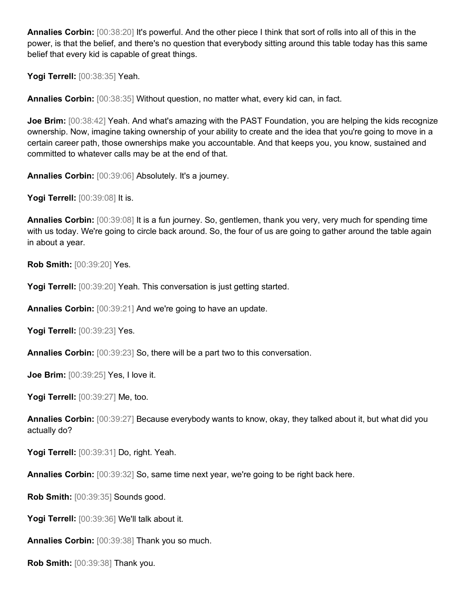**Annalies Corbin:** [00:38:20] It's powerful. And the other piece I think that sort of rolls into all of this in the power, is that the belief, and there's no question that everybody sitting around this table today has this same belief that every kid is capable of great things.

**Yogi Terrell:** [00:38:35] Yeah.

**Annalies Corbin:** [00:38:35] Without question, no matter what, every kid can, in fact.

**Joe Brim:** [00:38:42] Yeah. And what's amazing with the PAST Foundation, you are helping the kids recognize ownership. Now, imagine taking ownership of your ability to create and the idea that you're going to move in a certain career path, those ownerships make you accountable. And that keeps you, you know, sustained and committed to whatever calls may be at the end of that.

**Annalies Corbin:** [00:39:06] Absolutely. It's a journey.

**Yogi Terrell:** [00:39:08] It is.

**Annalies Corbin:** [00:39:08] It is a fun journey. So, gentlemen, thank you very, very much for spending time with us today. We're going to circle back around. So, the four of us are going to gather around the table again in about a year.

**Rob Smith:** [00:39:20] Yes.

**Yogi Terrell:** [00:39:20] Yeah. This conversation is just getting started.

**Annalies Corbin:** [00:39:21] And we're going to have an update.

**Yogi Terrell:** [00:39:23] Yes.

**Annalies Corbin:** [00:39:23] So, there will be a part two to this conversation.

**Joe Brim:** [00:39:25] Yes, I love it.

**Yogi Terrell:** [00:39:27] Me, too.

**Annalies Corbin:** [00:39:27] Because everybody wants to know, okay, they talked about it, but what did you actually do?

**Yogi Terrell:** [00:39:31] Do, right. Yeah.

**Annalies Corbin:** [00:39:32] So, same time next year, we're going to be right back here.

**Rob Smith:** [00:39:35] Sounds good.

**Yogi Terrell:** [00:39:36] We'll talk about it.

**Annalies Corbin:** [00:39:38] Thank you so much.

**Rob Smith:** [00:39:38] Thank you.